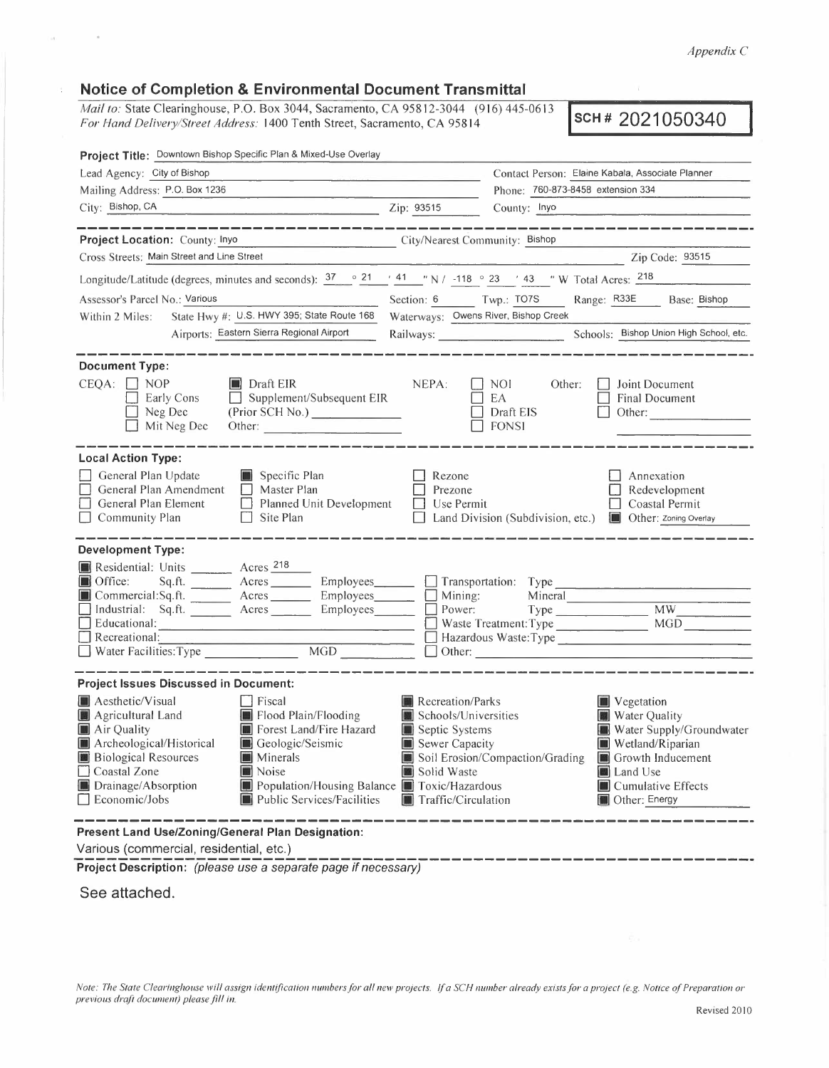*Appendix C* 

## **Notice of Completion & Environmental Document Transmittal**

*Mail to: State Clearinghouse, P.O. Box 3044, Sacramento, CA 95812-3044* (916) 445-0613 *Mail to: State Clearinghouse, P.O. Box 3044, Sacramento, CA 95812-3044* (916) 445-0613 **SCH # 2021050340 For Hand Delivery/Street Address: 1400 Tenth Street, Sacramento, CA 95814** 

| Project Title: Downtown Bishop Specific Plan & Mixed-Use Overlay                                                                                                                                                                                                                                                                                                                                                        |                                                                                                                           |                                                                                                                                                                                                                       |  |  |  |  |
|-------------------------------------------------------------------------------------------------------------------------------------------------------------------------------------------------------------------------------------------------------------------------------------------------------------------------------------------------------------------------------------------------------------------------|---------------------------------------------------------------------------------------------------------------------------|-----------------------------------------------------------------------------------------------------------------------------------------------------------------------------------------------------------------------|--|--|--|--|
| Lead Agency: City of Bishop                                                                                                                                                                                                                                                                                                                                                                                             |                                                                                                                           | Contact Person: Elaine Kabala, Associate Planner                                                                                                                                                                      |  |  |  |  |
| Mailing Address: P.O. Box 1236                                                                                                                                                                                                                                                                                                                                                                                          |                                                                                                                           | Phone: 760-873-8458 extension 334                                                                                                                                                                                     |  |  |  |  |
| City: Bishop, CA<br>$\chi$ 2ip: 93515                                                                                                                                                                                                                                                                                                                                                                                   |                                                                                                                           | County: Inyo                                                                                                                                                                                                          |  |  |  |  |
| Project Location: County: Inyo                                                                                                                                                                                                                                                                                                                                                                                          | City/Nearest Community: Bishop                                                                                            |                                                                                                                                                                                                                       |  |  |  |  |
| Cross Streets: Main Street and Line Street                                                                                                                                                                                                                                                                                                                                                                              |                                                                                                                           | Zip Code: 93515                                                                                                                                                                                                       |  |  |  |  |
| Longitude/Latitude (degrees, minutes and seconds): $37 \degree 21$ / 41 / N / -118 $\degree 23$ / 43 / W Total Acres: $218$                                                                                                                                                                                                                                                                                             |                                                                                                                           |                                                                                                                                                                                                                       |  |  |  |  |
| Assessor's Parcel No.: Various                                                                                                                                                                                                                                                                                                                                                                                          | Section: 6 Twp.: TO7S                                                                                                     | Range: R33E Base: Bishop                                                                                                                                                                                              |  |  |  |  |
| State Hwy #: U.S. HWY 395; State Route 168<br>Within 2 Miles:                                                                                                                                                                                                                                                                                                                                                           | Waterways: Owens River, Bishop Creek                                                                                      |                                                                                                                                                                                                                       |  |  |  |  |
| Airports: Eastern Sierra Regional Airport                                                                                                                                                                                                                                                                                                                                                                               |                                                                                                                           | Schools: Bishop Union High School, etc.                                                                                                                                                                               |  |  |  |  |
| <b>Document Type:</b>                                                                                                                                                                                                                                                                                                                                                                                                   |                                                                                                                           |                                                                                                                                                                                                                       |  |  |  |  |
| $CEOA:$ $\parallel$ NOP<br>$\blacksquare$ Draft EIR<br>$\Box$ Supplement/Subsequent EIR<br>Early Cons<br>$\Box$ Neg Dec<br>(Prior SCH No.)<br>$\Box$ Mit Neg Dec<br>Other:                                                                                                                                                                                                                                              | NEPA:<br>$\Box$                                                                                                           | NOI<br>Joint Document<br>Other:<br>EA<br><b>Final Document</b><br>Draft EIS<br>Other:<br>$\Box$ FONSI                                                                                                                 |  |  |  |  |
| <b>Local Action Type:</b><br>General Plan Update<br>Specific Plan<br>General Plan Amendment<br>$\Box$ Master Plan<br>Planned Unit Development<br>General Plan Element<br>$\Box$ Site Plan<br>$\Box$ Community Plan                                                                                                                                                                                                      | $\Box$ Rezone<br>$\Box$ Prezone<br>$\Box$ Use Permit                                                                      | Annexation<br>$\Box$ Redevelopment<br>$\Box$ Coastal Permit<br>□ Land Division (Subdivision, etc.) ■ Other: Zoning Overlay                                                                                            |  |  |  |  |
| <b>Development Type:</b><br>Residential: Units _________ Acres 218<br>Sq.ft. Acres Employees Transportation: Type<br>Office:<br>Commercial:Sq.ft. _______ Acres _______ Employees ______ __ Mining:<br>Industrial: Sq.ft. Acres Employees Dower: Type MW MW<br>Educational: MGD Maste Treatment: Type MGD MGD MGD<br>Recreational: Recreational:<br>MGD<br>Water Facilities: Type                                       | $\Box$ Other:                                                                                                             | Mineral<br>Hazardous Waste: Type                                                                                                                                                                                      |  |  |  |  |
| <b>Project Issues Discussed in Document:</b><br>Aesthetic/Visual<br>$\Box$ Fiscal<br>Flood Plain/Flooding<br>Agricultural Land<br>Air Quality<br>Forest Land/Fire Hazard<br>Archeological/Historical<br>Geologic/Seismic<br><b>Biological Resources</b><br><b>Minerals</b><br>Coastal Zone<br>Noise<br>Drainage/Absorption<br>Population/Housing Balance Toxic/Hazardous<br>Economic/Jobs<br>Public Services/Facilities | <b>Recreation/Parks</b><br>Schools/Universities<br>Septic Systems<br>Sewer Capacity<br>Solid Waste<br>Traffic/Circulation | Vegetation<br><b>Water Quality</b><br>Water Supply/Groundwater<br>Wetland/Riparian<br>Soil Erosion/Compaction/Grading <b>C</b> Growth Inducement<br>Land Use<br><b>I</b> Cumulative Effects<br><b>I</b> Other: Energy |  |  |  |  |
| Present Land Use/Zoning/General Plan Designation:                                                                                                                                                                                                                                                                                                                                                                       |                                                                                                                           |                                                                                                                                                                                                                       |  |  |  |  |

Various (commercial, residential, etc.)

**Project Description:** (please use a separate page if necessary)

**See attached.** 

 $\sim$ 

 $\theta$